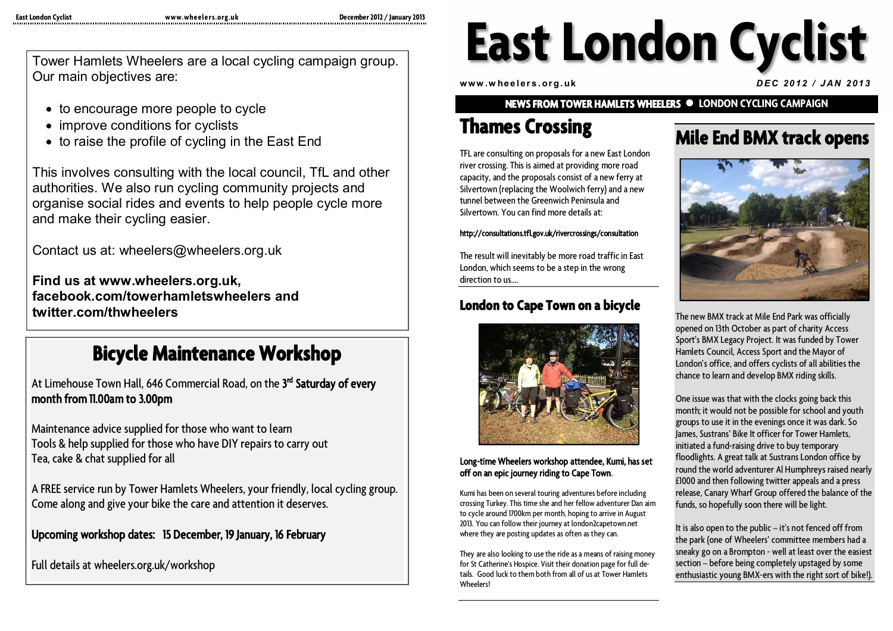Tower Hamlets Wheelers are a local cycling campaign group. Our main objectives are:

- to encourage more people to cycle
- improve conditions for cyclists
- to raise the profile of cycling in the East End

This involves consulting with the local council, TfL and other authorities. We also run cycling community projects and organise social rides and events to help people cycle more and make their cycling easier.

Contact us at: wheelers@wheelers.org.uk

**Find us at www.wheelers.org.uk, facebook.com/towerhamletswheelers and twitter.com/thwheelers**

## **Bicycle Maintenance Workshop**

At Limehouse Town Hall, 646 Commercial Road, on the **3 rd Saturday of every month from 11.00am to 3.00pm**

Maintenance advice supplied for those who want to learn Tools & help supplied for those who have DIY repairs to carry out Tea, cake & chat supplied for all

A FREE service run by Tower Hamlets Wheelers, your friendly, local cycling group. Come along and give your bike the care and attention it deserves.

#### **Upcoming workshop dates: 15 December, 19 January, 16 February**

Full details at wheelers.org.uk/workshop

# **East London Cyclist**

**w ww .w he e l er s . or g . uk** *D E C 20 1 2 / J AN 2 01 3*

**NEWS FROM TOWER HAMLETS WHEELERS LONDON CYCLING CAMPAIGN**

## **Thames Crossing**

TFL are consulting on proposals for a new East London river crossing. This is aimed at providing more road capacity, and the proposals consist of a new ferry at Silvertown (replacing the Woolwich ferry) and a new tunnel between the Greenwich Peninsula and Silvertown. You can find more details at:

#### **http://consultations.tfl.gov.uk/rivercrossings/consultation**

The result will inevitably be more road traffic in East London, which seems to be a step in the wrong direction to us.

#### **London to Cape Town on a bicycle**



#### **Long-time Wheelers workshop attendee, Kumi, has set off on an epic journey riding to Cape Town**.

Kumi has been on several touring adventures before including crossing Turkey. This time she and her fellow adventurer Dan aim to cycle around 1700km per month, hoping to arrive in August 2013. You can follow their journey at london2capetown.net where they are posting updates as often as they can.

They are also looking to use the ride as a means of raising money for St Catherine's Hospice. Visit their donation page for full details. Good luck to them both from all of us at Tower Hamlets Wheelers!

#### **Mile End BMX track opens**



The new BMX track at Mile End Park was officially opened on 13th October as part of charity Access Sport's BMX Legacy Project. It was funded by Tower Hamlets Council, Access Sport and the Mayor of London's office, and offers cyclists of all abilities the chance to learn and develop BMX riding skills.

One issue was that with the clocks going back this month; it would not be possible for school and youth groups to use it in the evenings once it was dark. So James, Sustrans' Bike It officer for Tower Hamlets, initiated a fund-raising drive to buy temporary floodlights. A great talk at Sustrans London office by round the world adventurer Al Humphreys raised nearly £1000 and then following twitter appeals and a press release, Canary Wharf Group offered the balance of the funds, so hopefully soon there will be light.

It is also open to the public – it's not fenced off from the park (one of Wheelers' committee members had a sneaky go on a Brompton - well at least over the easiest section – before being completely upstaged by some enthusiastic young BMX-ers with the right sort of bike!).